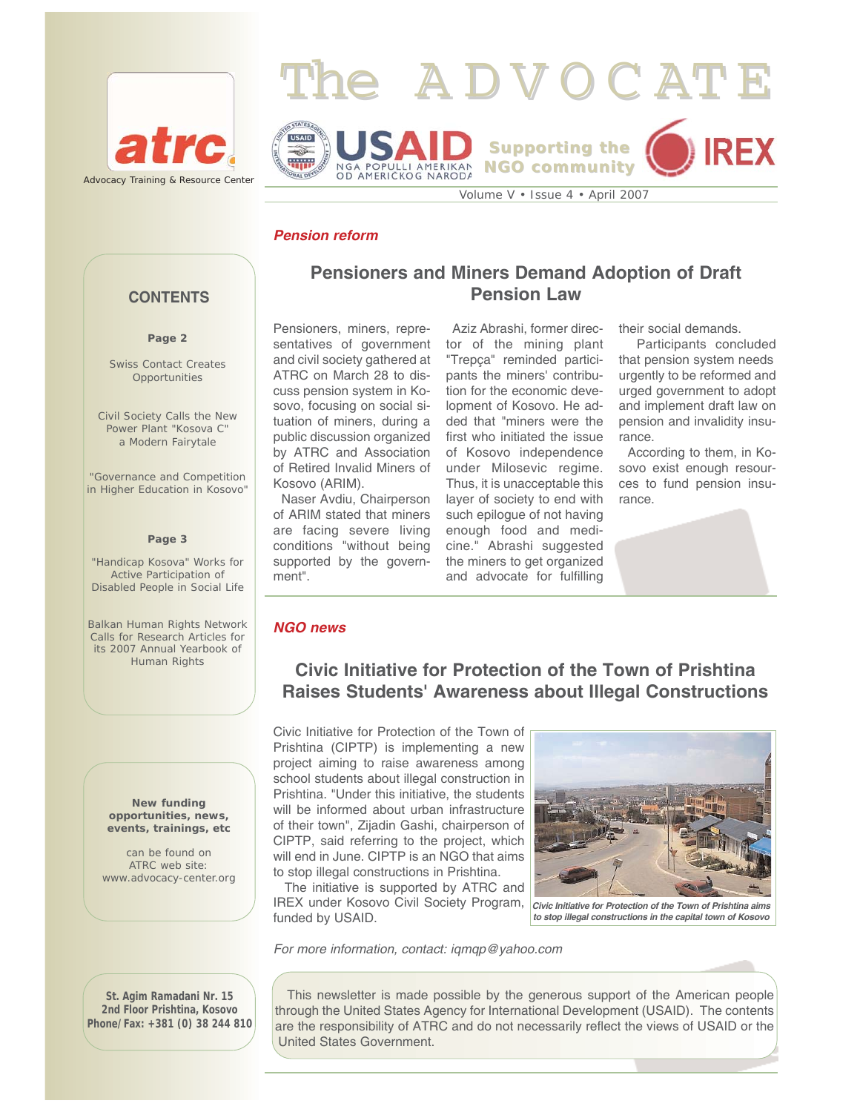



# *Pension reform*

## **CONTENTS**

#### **Page 2**

Swiss Contact Creates **Opportunities** 

Civil Society Calls the New Power Plant "Kosova C" a Modern Fairytale

"Governance and Competition in Higher Education in Kosovo"

#### **Page 3**

"Handicap Kosova" Works for Active Participation of Disabled People in Social Life

Balkan Human Rights Network Calls for Research Articles for its 2007 Annual Yearbook of Human Rights

> **New funding opportunities, news, events, trainings, etc**

can be found on ATRC web site: www.advocacy-center.org **Pensioners and Miners Demand Adoption of Draft Pension Law** 

Pensioners, miners, representatives of government and civil society gathered at ATRC on March 28 to discuss pension system in Kosovo, focusing on social situation of miners, during a public discussion organized by ATRC and Association of Retired Invalid Miners of Kosovo (ARIM).

Naser Avdiu, Chairperson of ARIM stated that miners are facing severe living conditions "without being supported by the government".

Aziz Abrashi, former director of the mining plant "Trepça" reminded participants the miners' contribution for the economic development of Kosovo. He added that "miners were the first who initiated the issue of Kosovo independence under Milosevic regime. Thus, it is unacceptable this layer of society to end with such epilogue of not having enough food and medicine." Abrashi suggested the miners to get organized and advocate for fulfilling

their social demands.

Participants concluded that pension system needs urgently to be reformed and urged government to adopt and implement draft law on pension and invalidity insurance.

According to them, in Kosovo exist enough resources to fund pension insurance.



# **Civic Initiative for Protection of the Town of Prishtina Raises Students' Awareness about Illegal Constructions**

Civic Initiative for Protection of the Town of Prishtina (CIPTP) is implementing a new project aiming to raise awareness among school students about illegal construction in Prishtina. "Under this initiative, the students will be informed about urban infrastructure of their town", Zijadin Gashi, chairperson of CIPTP, said referring to the project, which will end in June. CIPTP is an NGO that aims to stop illegal constructions in Prishtina.

The initiative is supported by ATRC and IREX under Kosovo Civil Society Program, funded by USAID.

*For more information, contact: iqmqp@yahoo.com* 



*Civic Initiative for Protection of the Town of Prishtina aims to stop illegal constructions in the capital town of Kosovo*

**St. Agim Ramadani Nr. 15 2nd Floor Prishtina, Kosovo Phone/Fax: +381 (0) 38 244 810**

This newsletter is made possible by the generous support of the American people through the United States Agency for International Development (USAID). The contents are the responsibility of ATRC and do not necessarily reflect the views of USAID or the United States Government.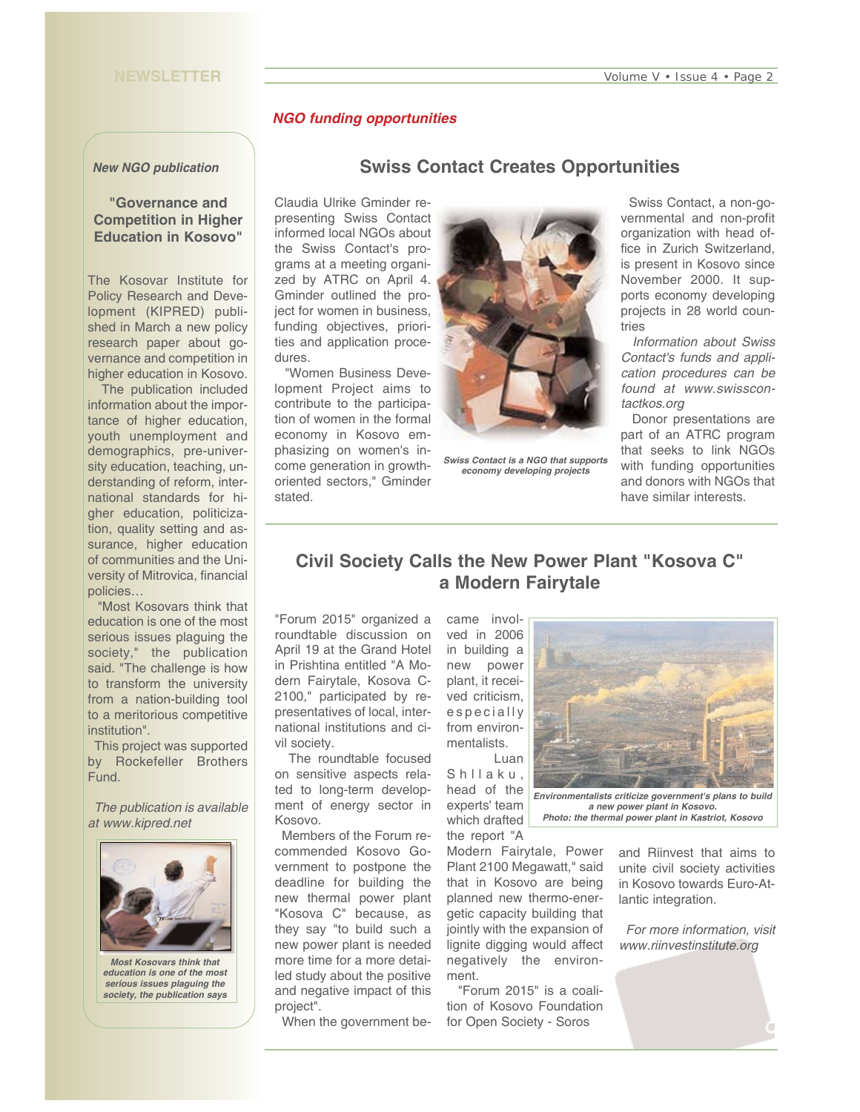#### **NEWSLETTER**

#### *NGO funding opportunities*

#### *New NGO publication*

### **"Governance and Competition in Higher Education in Kosovo"**

The Kosovar Institute for Policy Research and Development (KIPRED) published in March a new policy research paper about governance and competition in higher education in Kosovo.

The publication included information about the importance of higher education, youth unemployment and demographics, pre-university education, teaching, understanding of reform, international standards for higher education, politicization, quality setting and assurance, higher education of communities and the University of Mitrovica, financial policies…

"Most Kosovars think that education is one of the most serious issues plaguing the society," the publication said. "The challenge is how to transform the university from a nation-building tool to a meritorious competitive institution".

This project was supported by Rockefeller Brothers Fund.

*The publication is available at www.kipred.net* 



*education is one of the most serious issues plaguing the society, the publication says* 

## **Swiss Contact Creates Opportunities**

Claudia Ulrike Gminder representing Swiss Contact informed local NGOs about the Swiss Contact's programs at a meeting organized by ATRC on April 4. Gminder outlined the project for women in business, funding objectives, priorities and application procedures.

"Women Business Development Project aims to contribute to the participation of women in the formal economy in Kosovo emphasizing on women's income generation in growthoriented sectors," Gminder stated.



*Swiss Contact is a NGO that supports economy developing projects* 

Swiss Contact, a non-governmental and non-profit organization with head office in Zurich Switzerland, is present in Kosovo since November 2000. It supports economy developing projects in 28 world countries

*Information about Swiss Contact's funds and application procedures can be found at www.swisscontactkos.org* 

Donor presentations are part of an ATRC program that seeks to link NGOs with funding opportunities and donors with NGOs that have similar interests.

# **Civil Society Calls the New Power Plant "Kosova C" a Modern Fairytale**

"Forum 2015" organized a roundtable discussion on April 19 at the Grand Hotel in Prishtina entitled "A Modern Fairytale, Kosova C-2100," participated by representatives of local, international institutions and civil society.

The roundtable focused on sensitive aspects related to long-term development of energy sector in Kosovo.

Members of the Forum recommended Kosovo Government to postpone the deadline for building the new thermal power plant "Kosova C" because, as they say "to build such a new power plant is needed more time for a more detailed study about the positive and negative impact of this project".

When the government be-

came involved in 2006 in building a new power plant, it received criticism, especially from environmentalists. Luan

Shllaku, head of the experts' team which drafted the report "A

Modern Fairytale, Power Plant 2100 Megawatt," said that in Kosovo are being planned new thermo-energetic capacity building that jointly with the expansion of lignite digging would affect negatively the environment.

"Forum 2015" is a coalition of Kosovo Foundation for Open Society - Soros



*Photo: the thermal power plant in Kastriot, Kosovo*

and Riinvest that aims to unite civil society activities in Kosovo towards Euro-Atlantic integration.

*For more information, visit www.riinvestinstitute.org*